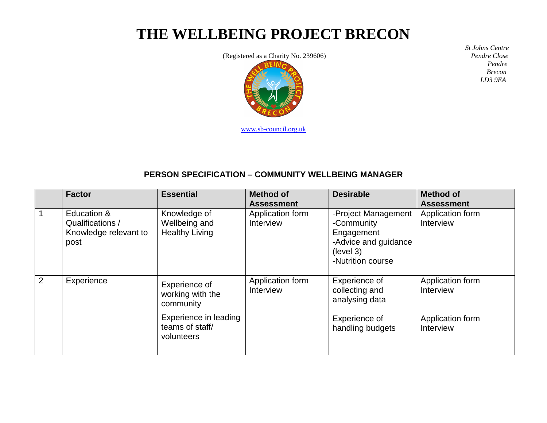## **THE WELLBEING PROJECT BRECON**

(Registered as a Charity No. 239606)



[www.sb-council.org.uk](http://www.sb-council.org.uk/)

 *St Johns Centre Pendre Close Pendre Brecon LD3 9EA*

## **PERSON SPECIFICATION – COMMUNITY WELLBEING MANAGER**

|              | <b>Factor</b>                                                    | <b>Essential</b>                                                                           | <b>Method of</b><br><b>Assessment</b> | <b>Desirable</b>                                                                                          | <b>Method of</b><br><b>Assessment</b>                          |
|--------------|------------------------------------------------------------------|--------------------------------------------------------------------------------------------|---------------------------------------|-----------------------------------------------------------------------------------------------------------|----------------------------------------------------------------|
| $\mathbf{1}$ | Education &<br>Qualifications /<br>Knowledge relevant to<br>post | Knowledge of<br>Wellbeing and<br><b>Healthy Living</b>                                     | Application form<br>Interview         | -Project Management<br>-Community<br>Engagement<br>-Advice and guidance<br>(level 3)<br>-Nutrition course | Application form<br>Interview                                  |
| 2            | Experience                                                       | Experience of<br>working with the<br>community<br>Experience in leading<br>teams of staff/ | Application form<br>Interview         | Experience of<br>collecting and<br>analysing data<br>Experience of                                        | Application form<br>Interview<br>Application form<br>Interview |
|              |                                                                  | volunteers                                                                                 |                                       | handling budgets                                                                                          |                                                                |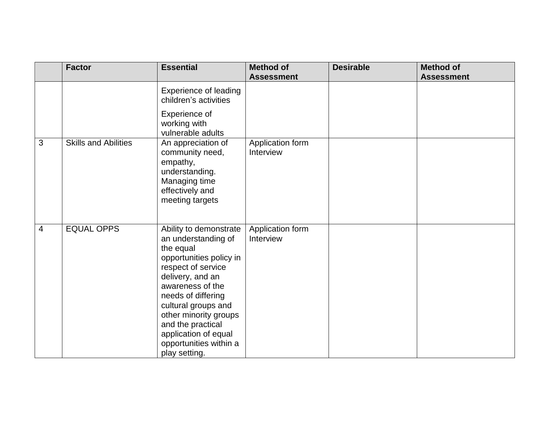|                | <b>Factor</b>               | <b>Essential</b>                                                                                                                                                                                                                                                                                                  | <b>Method of</b><br><b>Assessment</b> | <b>Desirable</b> | <b>Method of</b><br><b>Assessment</b> |
|----------------|-----------------------------|-------------------------------------------------------------------------------------------------------------------------------------------------------------------------------------------------------------------------------------------------------------------------------------------------------------------|---------------------------------------|------------------|---------------------------------------|
|                |                             | <b>Experience of leading</b><br>children's activities                                                                                                                                                                                                                                                             |                                       |                  |                                       |
|                |                             | Experience of<br>working with<br>vulnerable adults                                                                                                                                                                                                                                                                |                                       |                  |                                       |
| 3              | <b>Skills and Abilities</b> | An appreciation of<br>community need,<br>empathy,<br>understanding.<br>Managing time<br>effectively and<br>meeting targets                                                                                                                                                                                        | Application form<br>Interview         |                  |                                       |
| $\overline{4}$ | <b>EQUAL OPPS</b>           | Ability to demonstrate<br>an understanding of<br>the equal<br>opportunities policy in<br>respect of service<br>delivery, and an<br>awareness of the<br>needs of differing<br>cultural groups and<br>other minority groups<br>and the practical<br>application of equal<br>opportunities within a<br>play setting. | Application form<br>Interview         |                  |                                       |